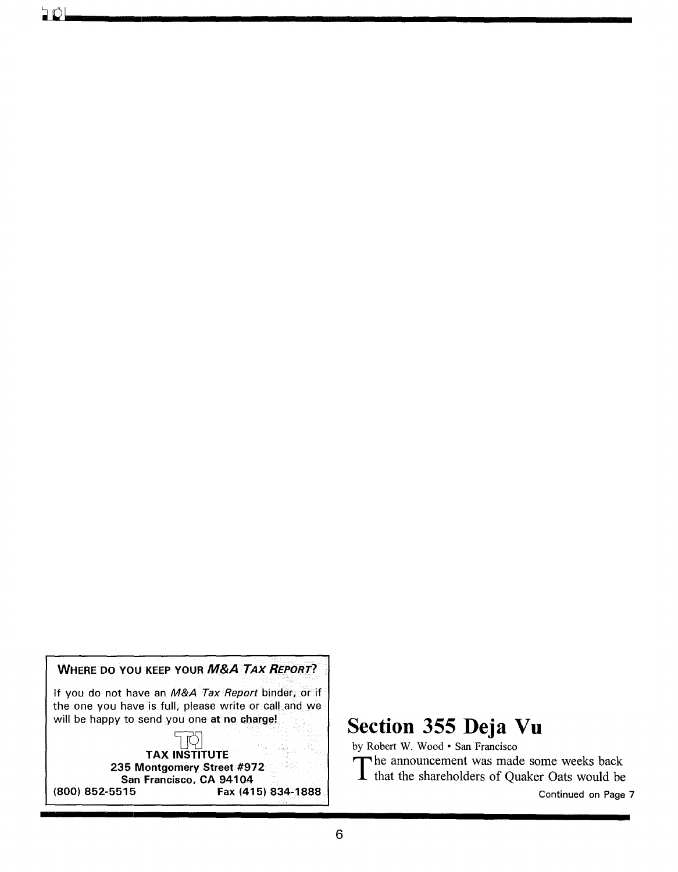WHERE DO YOU KEEP YOUR *M&A TAX REPORT?* 

If you do not have an *M&A Tax Report* binder, or if the one you have is full, please write or call and we will be happy to send you one at no charge!

## $\frac{1}{\sqrt{2}}$ <br>TAX INSTITUTE 235 Montgomery Street #972 San Francisco, CA 94104 (800) 852-5515 Fax (415) 834-1888

## Section 355 Deja Vu

by Robert W. Wood · San Francisco

The announcement was made some weeks back<br>that the shareholders of Quaker Oats would be

Continued on Page 7